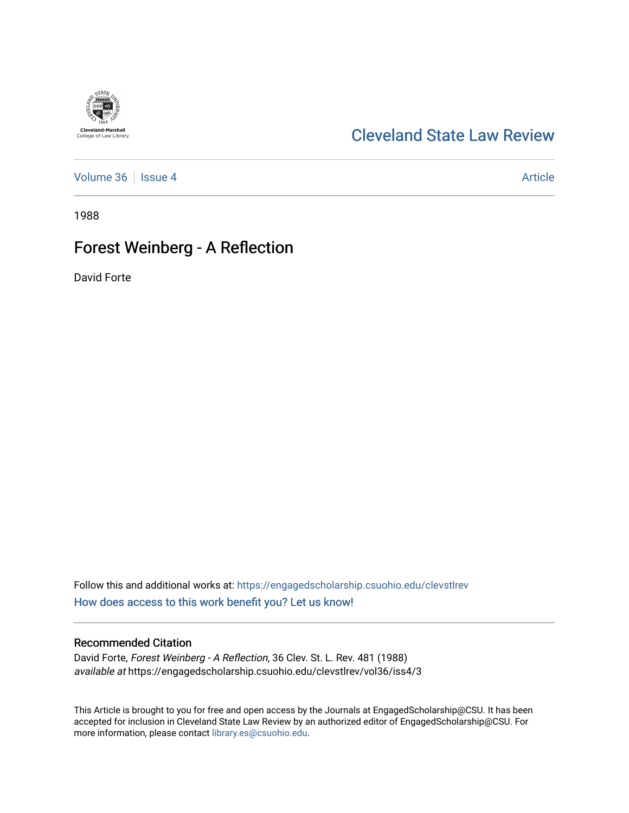# [Cleveland State Law Review](https://engagedscholarship.csuohio.edu/clevstlrev)

[Volume 36](https://engagedscholarship.csuohio.edu/clevstlrev/vol36) | [Issue 4](https://engagedscholarship.csuohio.edu/clevstlrev/vol36/iss4) Article

1988

## Forest Weinberg - A Reflection

David Forte

**Cleveland-Marshall**<br>College of Law Library

Follow this and additional works at: [https://engagedscholarship.csuohio.edu/clevstlrev](https://engagedscholarship.csuohio.edu/clevstlrev?utm_source=engagedscholarship.csuohio.edu%2Fclevstlrev%2Fvol36%2Fiss4%2F3&utm_medium=PDF&utm_campaign=PDFCoverPages) [How does access to this work benefit you? Let us know!](http://library.csuohio.edu/engaged/)

## Recommended Citation

David Forte, Forest Weinberg - A Reflection, 36 Clev. St. L. Rev. 481 (1988) available at https://engagedscholarship.csuohio.edu/clevstlrev/vol36/iss4/3

This Article is brought to you for free and open access by the Journals at EngagedScholarship@CSU. It has been accepted for inclusion in Cleveland State Law Review by an authorized editor of EngagedScholarship@CSU. For more information, please contact [library.es@csuohio.edu](mailto:library.es@csuohio.edu).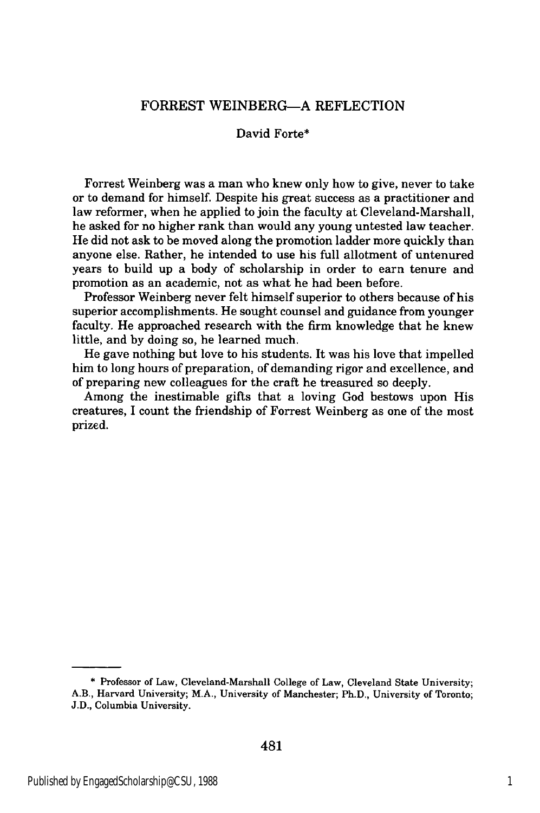### FORREST WEINBERG-A REFLECTION

#### David Forte\*

Forrest Weinberg was a man who knew only how to give, never to take or to demand for himself. Despite his great success as a practitioner and law reformer, when he applied to join the faculty at Cleveland-Marshall, he asked for no higher rank than would any young untested law teacher. He did not ask to be moved along the promotion ladder more quickly than anyone else. Rather, he intended to use his full allotment of untenured years to build up a body of scholarship in order to earn tenure and promotion as an academic, not as what he had been before.

Professor Weinberg never felt himself superior to others because of his superior accomplishments. He sought counsel and guidance from younger faculty. He approached research with the firm knowledge that he knew little, and **by** doing so, he learned much.

He gave nothing but love to his students. It was his love that impelled him to long hours of preparation, of demanding rigor and excellence, and of preparing new colleagues for the craft he treasured so deeply.

Among the inestimable gifts that a loving God bestows upon His creatures, **I** count the friendship of Forrest Weinberg as one of the most prized.

**<sup>\*</sup>** Professor of Law, Cleveland-Marshall College of Law, Cleveland State University; **A.B.,** Harvard University; M.A., University of Manchester; Ph.D., University of Toronto; **J.D.,** Columbia University.